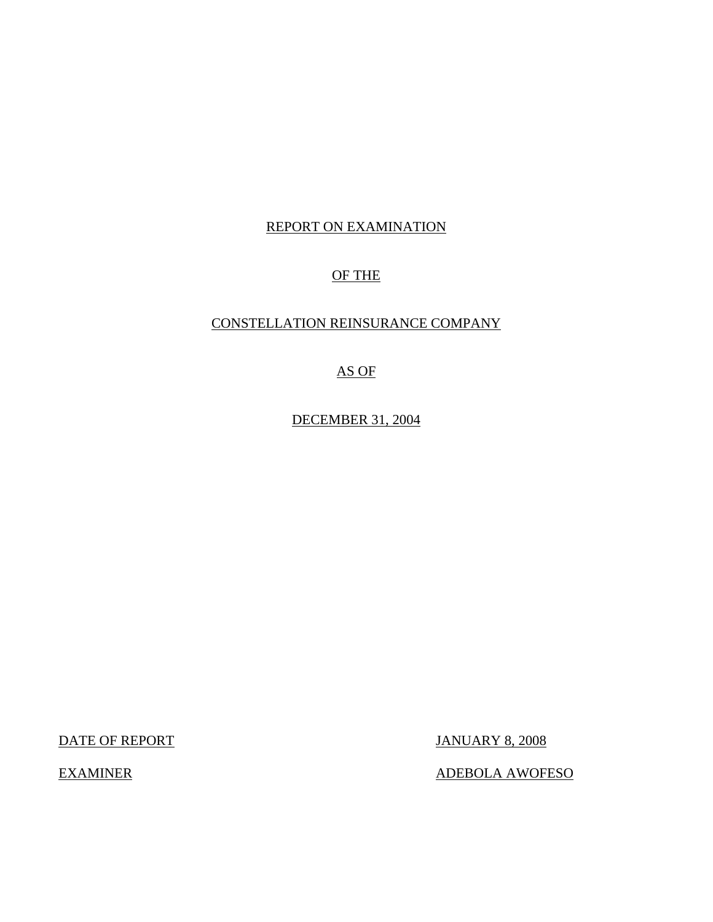# REPORT ON EXAMINATION

# OF THE

### CONSTELLATION REINSURANCE COMPANY

# AS OF

DECEMBER 31, 2004

DATE OF REPORT JANUARY 8, 2008

EXAMINER ADEBOLA AWOFESO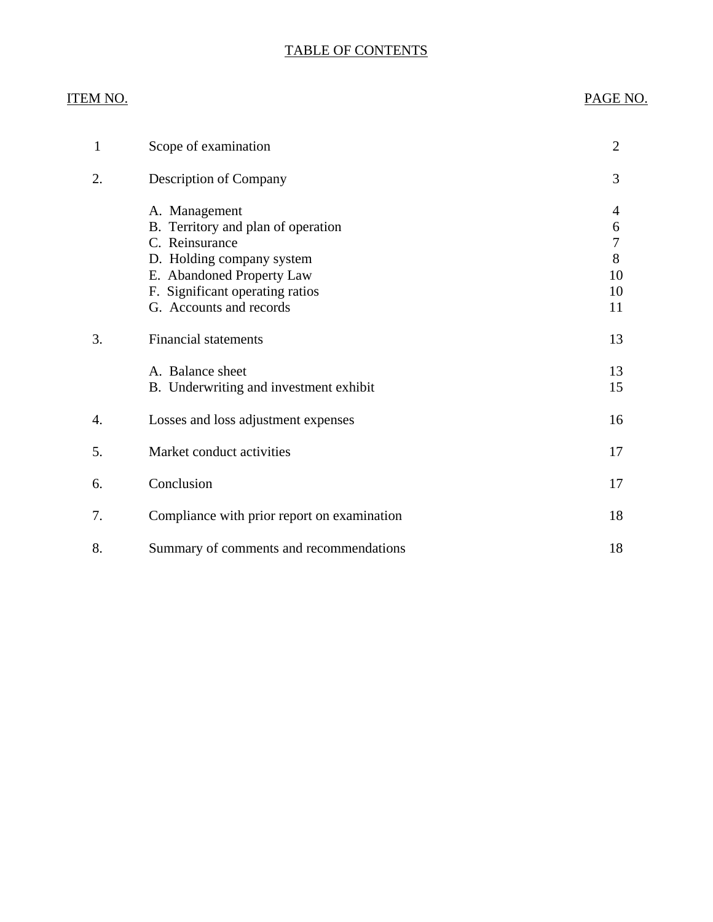### TABLE OF CONTENTS

# ITEM NO. PAGE NO.

| 1  | Scope of examination                                                                                                                                                                          | $\overline{2}$                     |
|----|-----------------------------------------------------------------------------------------------------------------------------------------------------------------------------------------------|------------------------------------|
| 2. | <b>Description of Company</b>                                                                                                                                                                 | 3                                  |
|    | A. Management<br>B. Territory and plan of operation<br>C. Reinsurance<br>D. Holding company system<br>E. Abandoned Property Law<br>F. Significant operating ratios<br>G. Accounts and records | 4<br>6<br>7<br>8<br>10<br>10<br>11 |
| 3. | <b>Financial statements</b>                                                                                                                                                                   | 13                                 |
|    | A. Balance sheet<br>B. Underwriting and investment exhibit                                                                                                                                    | 13<br>15                           |
| 4. | Losses and loss adjustment expenses                                                                                                                                                           | 16                                 |
| 5. | Market conduct activities                                                                                                                                                                     | 17                                 |
| 6. | Conclusion                                                                                                                                                                                    | 17                                 |
| 7. | Compliance with prior report on examination                                                                                                                                                   | 18                                 |
| 8. | Summary of comments and recommendations                                                                                                                                                       | 18                                 |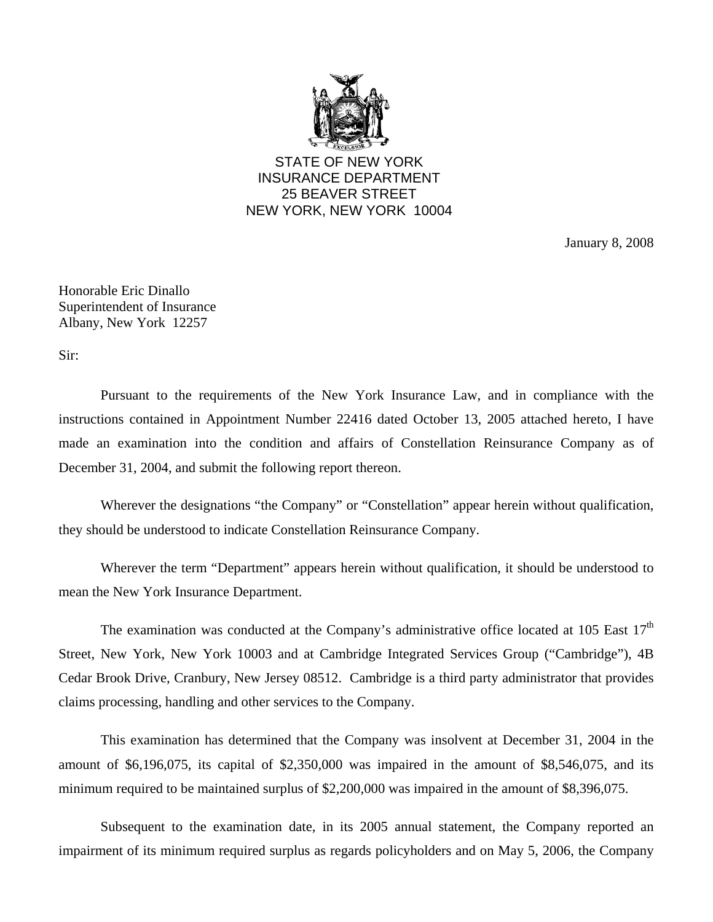

STATE OF NEW YORK INSURANCE DEPARTMENT 25 BEAVER STREET NEW YORK, NEW YORK 10004

January 8, 2008

Honorable Eric Dinallo Superintendent of Insurance Albany, New York 12257

Sir:

Pursuant to the requirements of the New York Insurance Law, and in compliance with the instructions contained in Appointment Number 22416 dated October 13, 2005 attached hereto, I have made an examination into the condition and affairs of Constellation Reinsurance Company as of December 31, 2004, and submit the following report thereon.

Wherever the designations "the Company" or "Constellation" appear herein without qualification, they should be understood to indicate Constellation Reinsurance Company.

Wherever the term "Department" appears herein without qualification, it should be understood to mean the New York Insurance Department.

The examination was conducted at the Company's administrative office located at  $105$  East  $17<sup>th</sup>$ Street, New York, New York 10003 and at Cambridge Integrated Services Group ("Cambridge"), 4B Cedar Brook Drive, Cranbury, New Jersey 08512. Cambridge is a third party administrator that provides claims processing, handling and other services to the Company.

This examination has determined that the Company was insolvent at December 31, 2004 in the amount of \$6,196,075, its capital of \$2,350,000 was impaired in the amount of \$8,546,075, and its minimum required to be maintained surplus of \$2,200,000 was impaired in the amount of \$8,396,075.

Subsequent to the examination date, in its 2005 annual statement, the Company reported an impairment of its minimum required surplus as regards policyholders and on May 5, 2006, the Company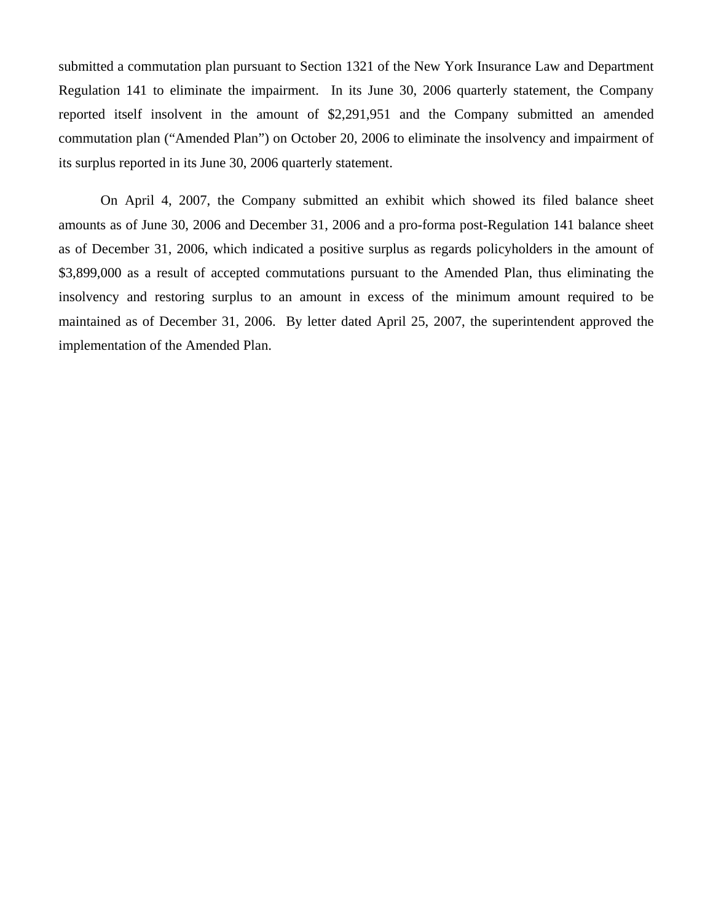submitted a commutation plan pursuant to Section 1321 of the New York Insurance Law and Department Regulation 141 to eliminate the impairment. In its June 30, 2006 quarterly statement, the Company reported itself insolvent in the amount of \$2,291,951 and the Company submitted an amended commutation plan ("Amended Plan") on October 20, 2006 to eliminate the insolvency and impairment of its surplus reported in its June 30, 2006 quarterly statement.

On April 4, 2007, the Company submitted an exhibit which showed its filed balance sheet amounts as of June 30, 2006 and December 31, 2006 and a pro-forma post-Regulation 141 balance sheet as of December 31, 2006, which indicated a positive surplus as regards policyholders in the amount of \$3,899,000 as a result of accepted commutations pursuant to the Amended Plan, thus eliminating the insolvency and restoring surplus to an amount in excess of the minimum amount required to be maintained as of December 31, 2006. By letter dated April 25, 2007, the superintendent approved the implementation of the Amended Plan.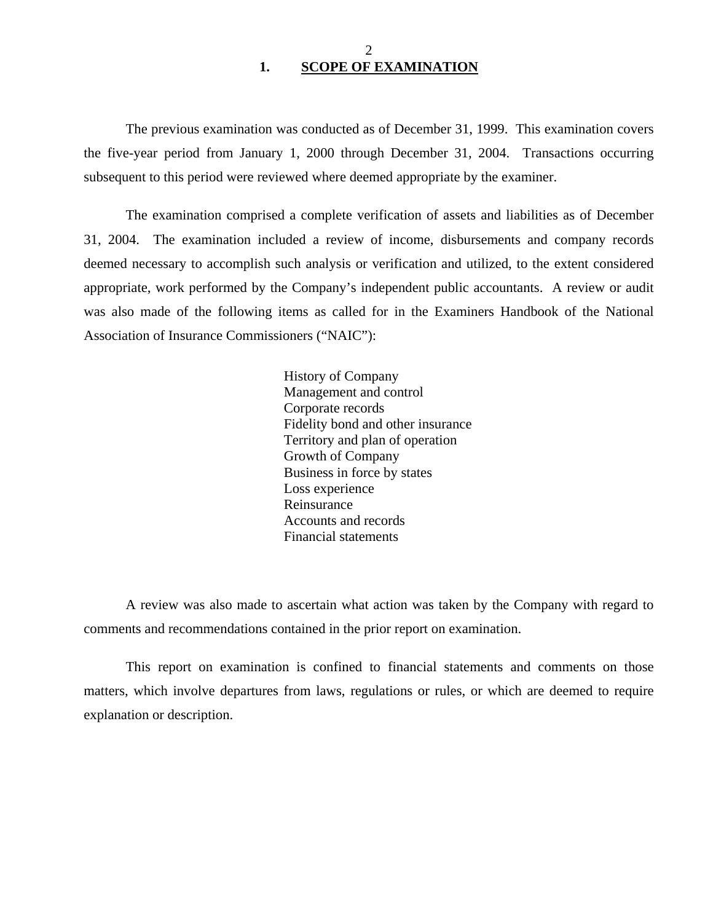#### 2 **1. SCOPE OF EXAMINATION**

<span id="page-4-0"></span>The previous examination was conducted as of December 31, 1999. This examination covers the five-year period from January 1, 2000 through December 31, 2004. Transactions occurring subsequent to this period were reviewed where deemed appropriate by the examiner.

The examination comprised a complete verification of assets and liabilities as of December 31, 2004. The examination included a review of income, disbursements and company records deemed necessary to accomplish such analysis or verification and utilized, to the extent considered appropriate, work performed by the Company's independent public accountants. A review or audit was also made of the following items as called for in the Examiners Handbook of the National Association of Insurance Commissioners ("NAIC"):

> History of Company Management and control Corporate records Fidelity bond and other insurance Territory and plan of operation Growth of Company Business in force by states Loss experience Reinsurance Accounts and records Financial statements

A review was also made to ascertain what action was taken by the Company with regard to comments and recommendations contained in the prior report on examination.

This report on examination is confined to financial statements and comments on those matters, which involve departures from laws, regulations or rules, or which are deemed to require explanation or description.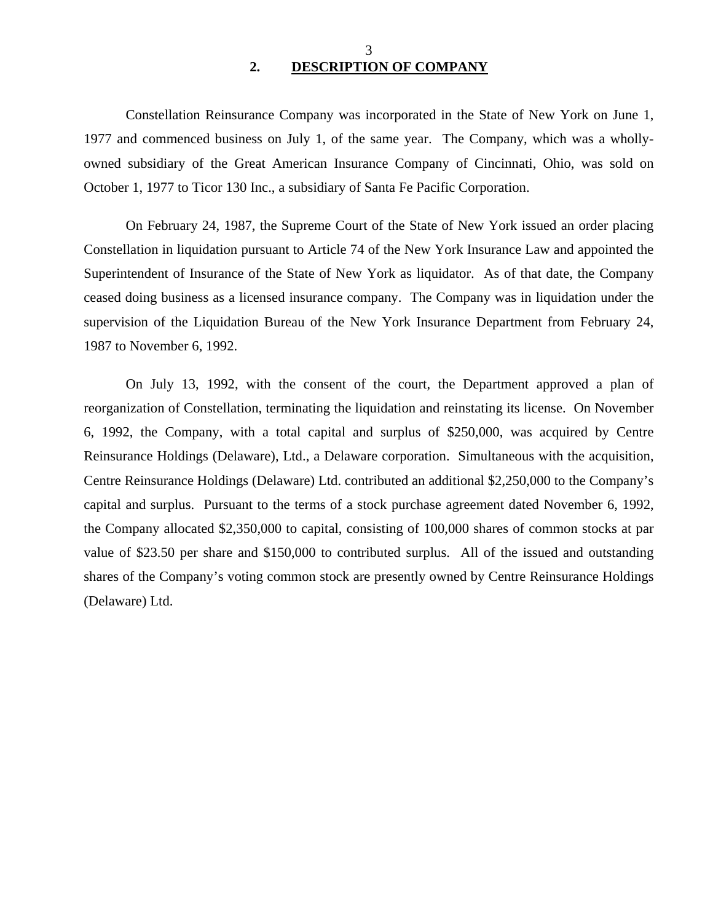#### 3 **2. DESCRIPTION OF COMPANY**

<span id="page-5-0"></span>Constellation Reinsurance Company was incorporated in the State of New York on June 1, 1977 and commenced business on July 1, of the same year. The Company, which was a whollyowned subsidiary of the Great American Insurance Company of Cincinnati, Ohio, was sold on October 1, 1977 to Ticor 130 Inc., a subsidiary of Santa Fe Pacific Corporation.

On February 24, 1987, the Supreme Court of the State of New York issued an order placing Constellation in liquidation pursuant to Article 74 of the New York Insurance Law and appointed the Superintendent of Insurance of the State of New York as liquidator. As of that date, the Company ceased doing business as a licensed insurance company. The Company was in liquidation under the supervision of the Liquidation Bureau of the New York Insurance Department from February 24, 1987 to November 6, 1992.

On July 13, 1992, with the consent of the court, the Department approved a plan of reorganization of Constellation, terminating the liquidation and reinstating its license. On November 6, 1992, the Company, with a total capital and surplus of \$250,000, was acquired by Centre Reinsurance Holdings (Delaware), Ltd., a Delaware corporation. Simultaneous with the acquisition, Centre Reinsurance Holdings (Delaware) Ltd. contributed an additional \$2,250,000 to the Company's capital and surplus. Pursuant to the terms of a stock purchase agreement dated November 6, 1992, the Company allocated \$2,350,000 to capital, consisting of 100,000 shares of common stocks at par value of \$23.50 per share and \$150,000 to contributed surplus. All of the issued and outstanding shares of the Company's voting common stock are presently owned by Centre Reinsurance Holdings (Delaware) Ltd.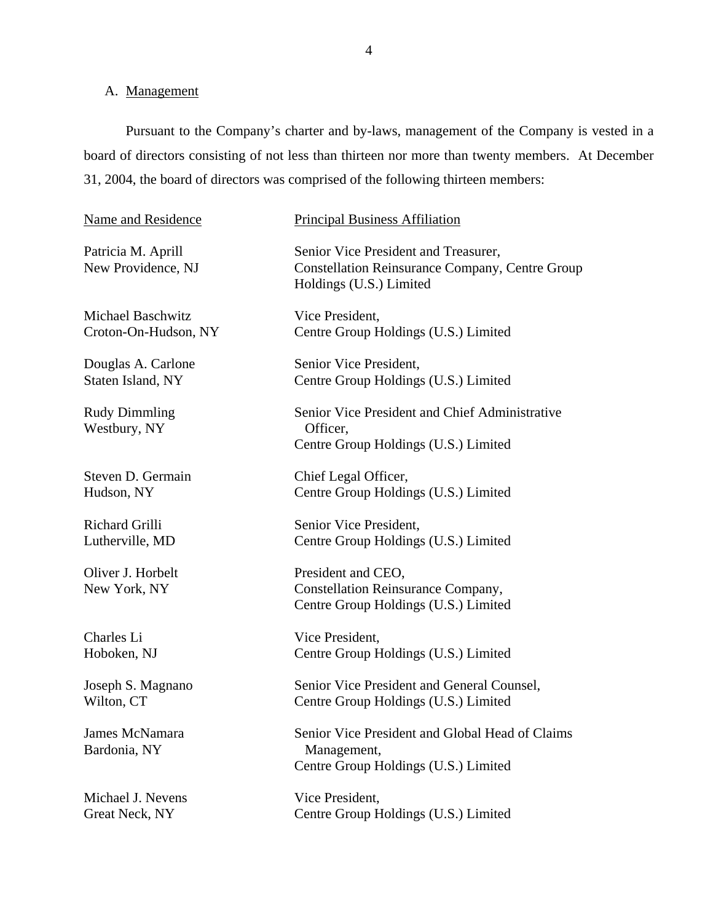# <span id="page-6-0"></span>A. Management

Pursuant to the Company's charter and by-laws, management of the Company is vested in a board of directors consisting of not less than thirteen nor more than twenty members. At December 31, 2004, the board of directors was comprised of the following thirteen members:

| Name and Residence                       | <b>Principal Business Affiliation</b>                                                                                     |  |  |
|------------------------------------------|---------------------------------------------------------------------------------------------------------------------------|--|--|
| Patricia M. Aprill<br>New Providence, NJ | Senior Vice President and Treasurer,<br><b>Constellation Reinsurance Company, Centre Group</b><br>Holdings (U.S.) Limited |  |  |
| <b>Michael Baschwitz</b>                 | Vice President,                                                                                                           |  |  |
| Croton-On-Hudson, NY                     | Centre Group Holdings (U.S.) Limited                                                                                      |  |  |
| Douglas A. Carlone                       | Senior Vice President,                                                                                                    |  |  |
| Staten Island, NY                        | Centre Group Holdings (U.S.) Limited                                                                                      |  |  |
| <b>Rudy Dimmling</b><br>Westbury, NY     | Senior Vice President and Chief Administrative<br>Officer,<br>Centre Group Holdings (U.S.) Limited                        |  |  |
| Steven D. Germain                        | Chief Legal Officer,                                                                                                      |  |  |
| Hudson, NY                               | Centre Group Holdings (U.S.) Limited                                                                                      |  |  |
| Richard Grilli                           | Senior Vice President,                                                                                                    |  |  |
| Lutherville, MD                          | Centre Group Holdings (U.S.) Limited                                                                                      |  |  |
| Oliver J. Horbelt<br>New York, NY        | President and CEO,<br>Constellation Reinsurance Company,<br>Centre Group Holdings (U.S.) Limited                          |  |  |
| Charles Li                               | Vice President,                                                                                                           |  |  |
| Hoboken, NJ                              | Centre Group Holdings (U.S.) Limited                                                                                      |  |  |
| Joseph S. Magnano                        | Senior Vice President and General Counsel,                                                                                |  |  |
| Wilton, CT                               | Centre Group Holdings (U.S.) Limited                                                                                      |  |  |
| <b>James McNamara</b><br>Bardonia, NY    | Senior Vice President and Global Head of Claims<br>Management,<br>Centre Group Holdings (U.S.) Limited                    |  |  |
| Michael J. Nevens                        | Vice President,                                                                                                           |  |  |
| Great Neck, NY                           | Centre Group Holdings (U.S.) Limited                                                                                      |  |  |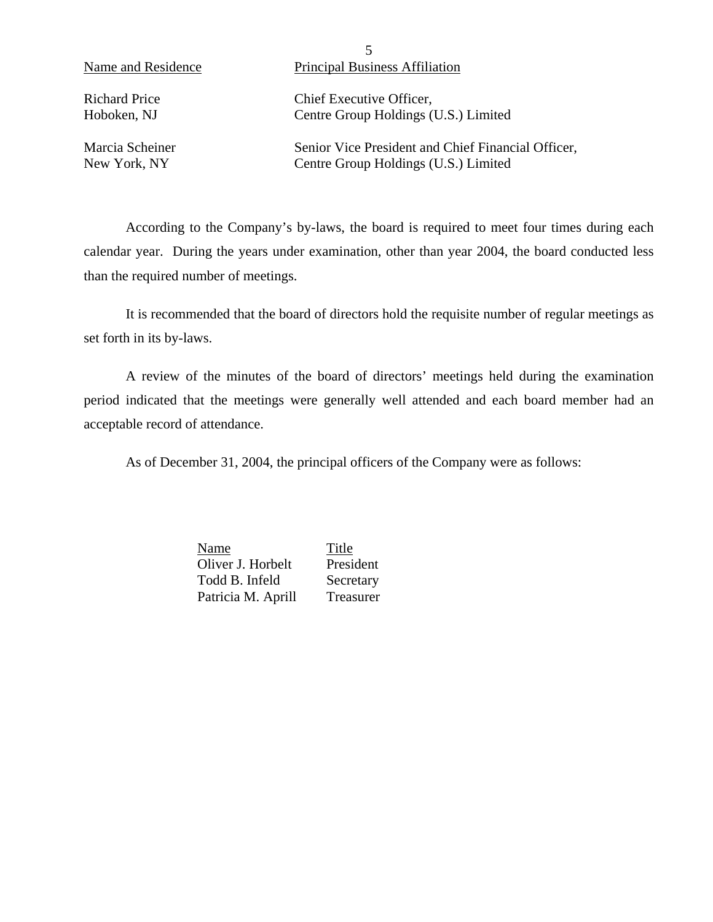5 Name and Residence Principal Business Affiliation

Richard Price Chief Executive Officer, Hoboken, NJ Centre Group Holdings (U.S.) Limited

Marcia Scheiner Senior Vice President and Chief Financial Officer, New York, NY Centre Group Holdings (U.S.) Limited

According to the Company's by-laws, the board is required to meet four times during each calendar year. During the years under examination, other than year 2004, the board conducted less than the required number of meetings.

It is recommended that the board of directors hold the requisite number of regular meetings as set forth in its by-laws.

A review of the minutes of the board of directors' meetings held during the examination period indicated that the meetings were generally well attended and each board member had an acceptable record of attendance.

As of December 31, 2004, the principal officers of the Company were as follows:

Name Title Oliver J. Horbelt President Todd B. Infeld Secretary Patricia M. Aprill Treasurer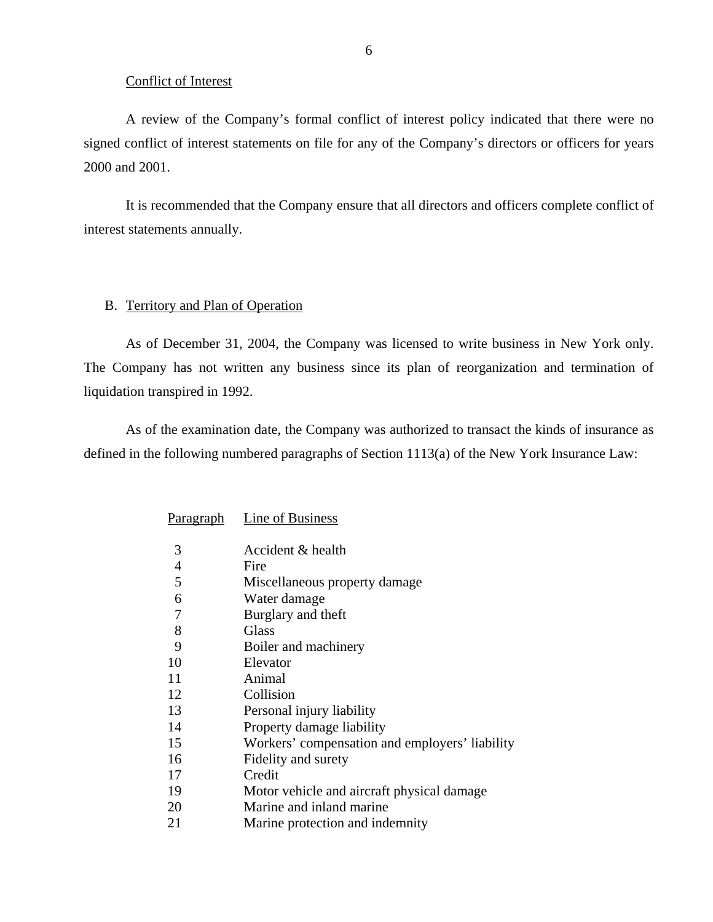#### Conflict of Interest

<span id="page-8-0"></span>A review of the Company's formal conflict of interest policy indicated that there were no signed conflict of interest statements on file for any of the Company's directors or officers for years 2000 and 2001.

It is recommended that the Company ensure that all directors and officers complete conflict of interest statements annually.

#### B. Territory and Plan of Operation

As of December 31, 2004, the Company was licensed to write business in New York only. The Company has not written any business since its plan of reorganization and termination of liquidation transpired in 1992.

As of the examination date, the Company was authorized to transact the kinds of insurance as defined in the following numbered paragraphs of Section 1113(a) of the New York Insurance Law:

| Paragraph | Line of Business                               |
|-----------|------------------------------------------------|
| 3         | Accident & health                              |
| 4         | Fire                                           |
| 5         | Miscellaneous property damage                  |
| 6         | Water damage                                   |
| 7         | Burglary and theft                             |
| 8         | <b>Glass</b>                                   |
| 9         | Boiler and machinery                           |
| 10        | Elevator                                       |
| 11        | Animal                                         |
| 12        | Collision                                      |
| 13        | Personal injury liability                      |
| 14        | Property damage liability                      |
| 15        | Workers' compensation and employers' liability |
| 16        | Fidelity and surety                            |
| 17        | Credit                                         |
| 19        | Motor vehicle and aircraft physical damage     |
| 20        | Marine and inland marine                       |
| 21        | Marine protection and indemnity                |
|           |                                                |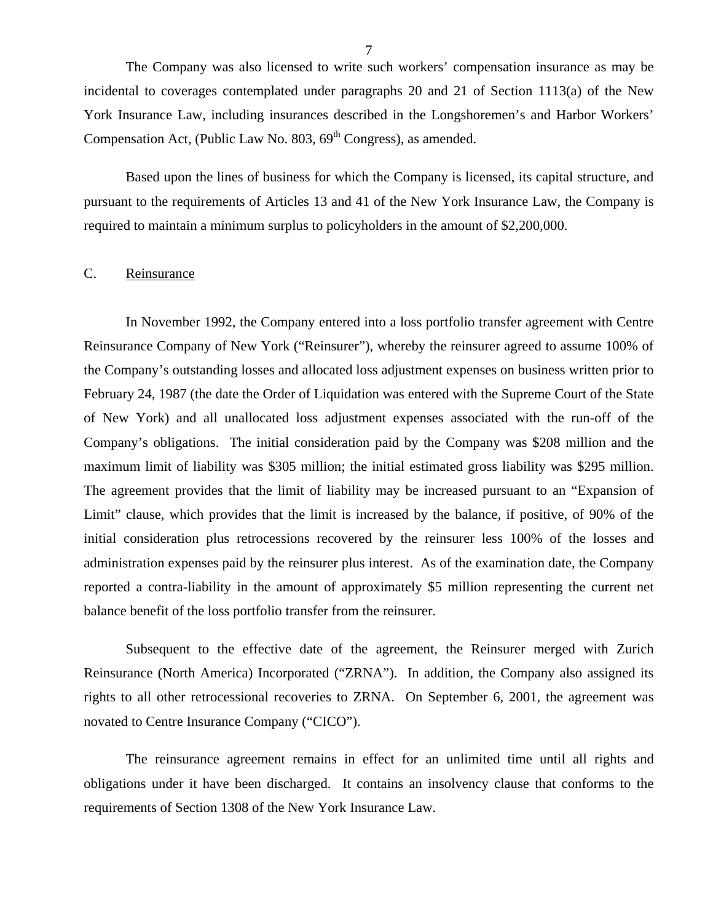<span id="page-9-0"></span>The Company was also licensed to write such workers' compensation insurance as may be incidental to coverages contemplated under paragraphs 20 and 21 of Section 1113(a) of the New York Insurance Law, including insurances described in the Longshoremen's and Harbor Workers' Compensation Act, (Public Law No.  $803, 69<sup>th</sup>$  Congress), as amended.

Based upon the lines of business for which the Company is licensed, its capital structure, and pursuant to the requirements of Articles 13 and 41 of the New York Insurance Law, the Company is required to maintain a minimum surplus to policyholders in the amount of \$2,200,000.

#### C. Reinsurance

In November 1992, the Company entered into a loss portfolio transfer agreement with Centre Reinsurance Company of New York ("Reinsurer"), whereby the reinsurer agreed to assume 100% of the Company's outstanding losses and allocated loss adjustment expenses on business written prior to February 24, 1987 (the date the Order of Liquidation was entered with the Supreme Court of the State of New York) and all unallocated loss adjustment expenses associated with the run-off of the Company's obligations. The initial consideration paid by the Company was \$208 million and the maximum limit of liability was \$305 million; the initial estimated gross liability was \$295 million. The agreement provides that the limit of liability may be increased pursuant to an "Expansion of Limit" clause, which provides that the limit is increased by the balance, if positive, of 90% of the initial consideration plus retrocessions recovered by the reinsurer less 100% of the losses and administration expenses paid by the reinsurer plus interest. As of the examination date, the Company reported a contra-liability in the amount of approximately \$5 million representing the current net balance benefit of the loss portfolio transfer from the reinsurer.

Subsequent to the effective date of the agreement, the Reinsurer merged with Zurich Reinsurance (North America) Incorporated ("ZRNA"). In addition, the Company also assigned its rights to all other retrocessional recoveries to ZRNA. On September 6, 2001, the agreement was novated to Centre Insurance Company ("CICO").

The reinsurance agreement remains in effect for an unlimited time until all rights and obligations under it have been discharged. It contains an insolvency clause that conforms to the requirements of Section 1308 of the New York Insurance Law.

7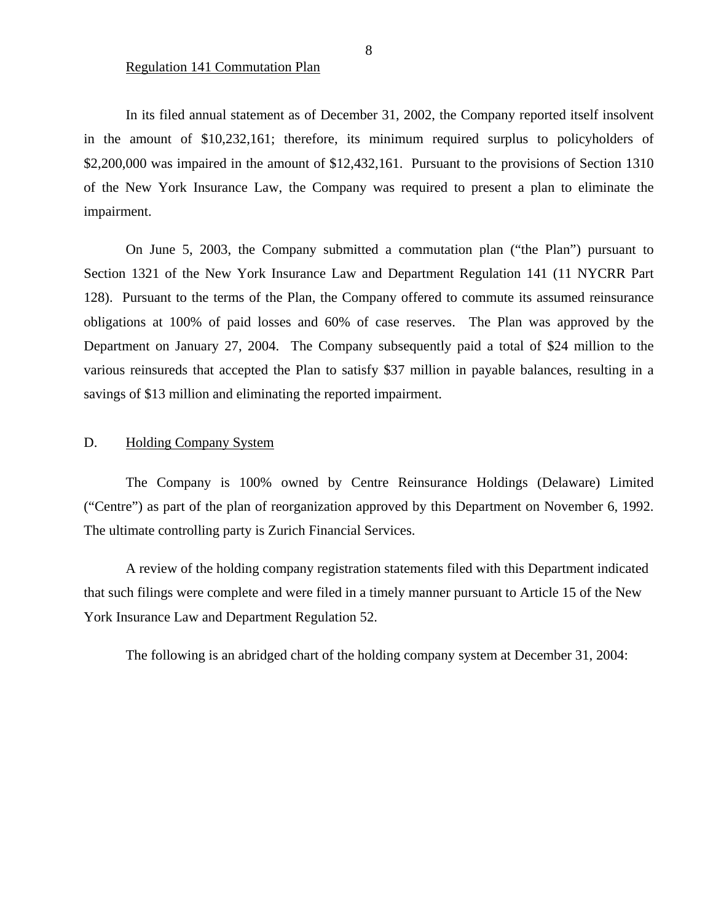<span id="page-10-0"></span>In its filed annual statement as of December 31, 2002, the Company reported itself insolvent in the amount of \$10,232,161; therefore, its minimum required surplus to policyholders of \$2,200,000 was impaired in the amount of \$12,432,161. Pursuant to the provisions of Section 1310 of the New York Insurance Law, the Company was required to present a plan to eliminate the impairment.

On June 5, 2003, the Company submitted a commutation plan ("the Plan") pursuant to Section 1321 of the New York Insurance Law and Department Regulation 141 (11 NYCRR Part 128). Pursuant to the terms of the Plan, the Company offered to commute its assumed reinsurance obligations at 100% of paid losses and 60% of case reserves. The Plan was approved by the Department on January 27, 2004. The Company subsequently paid a total of \$24 million to the various reinsureds that accepted the Plan to satisfy \$37 million in payable balances, resulting in a savings of \$13 million and eliminating the reported impairment.

#### D. Holding Company System

The Company is 100% owned by Centre Reinsurance Holdings (Delaware) Limited ("Centre") as part of the plan of reorganization approved by this Department on November 6, 1992. The ultimate controlling party is Zurich Financial Services.

A review of the holding company registration statements filed with this Department indicated that such filings were complete and were filed in a timely manner pursuant to Article 15 of the New York Insurance Law and Department Regulation 52.

The following is an abridged chart of the holding company system at December 31, 2004: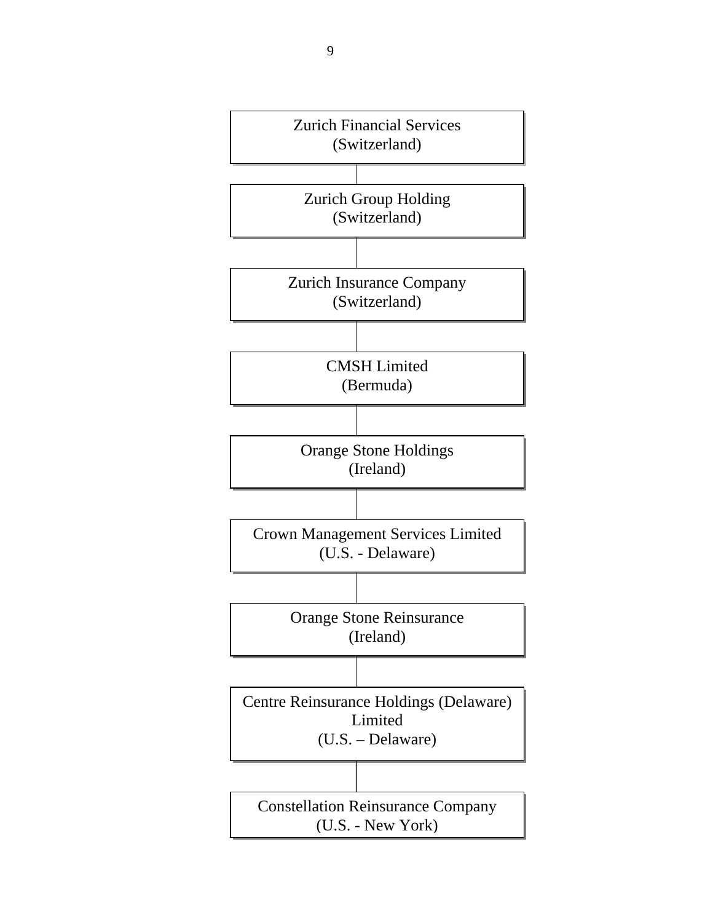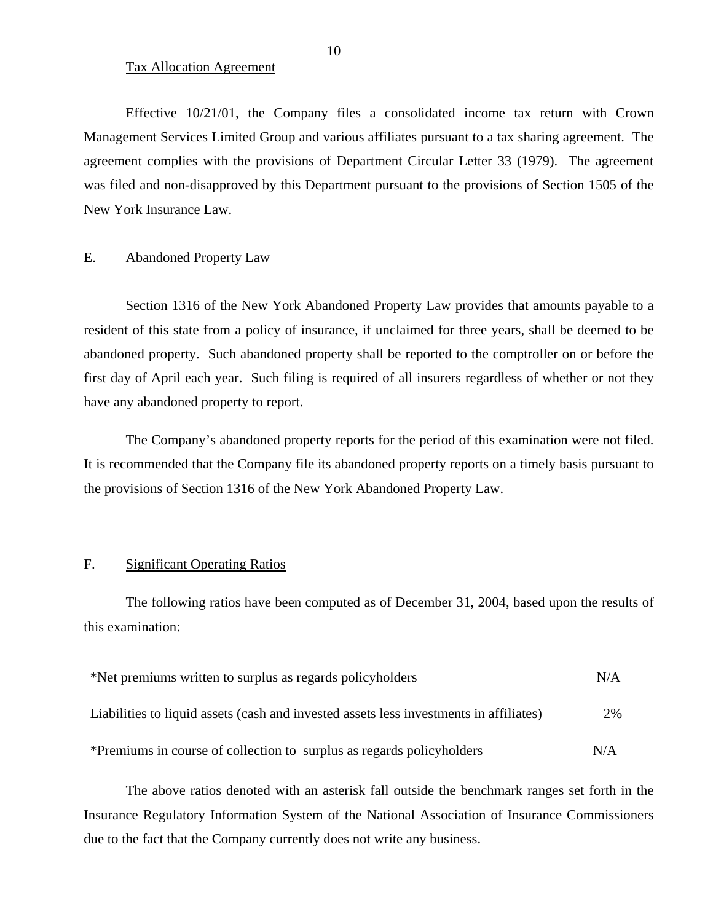#### Tax Allocation Agreement

Effective 10/21/01, the Company files a consolidated income tax return with Crown Management Services Limited Group and various affiliates pursuant to a tax sharing agreement. The agreement complies with the provisions of Department Circular Letter 33 (1979). The agreement was filed and non-disapproved by this Department pursuant to the provisions of Section 1505 of the New York Insurance Law.

#### E. Abandoned Property Law

Section 1316 of the New York Abandoned Property Law provides that amounts payable to a resident of this state from a policy of insurance, if unclaimed for three years, shall be deemed to be abandoned property. Such abandoned property shall be reported to the comptroller on or before the first day of April each year. Such filing is required of all insurers regardless of whether or not they have any abandoned property to report.

The Company's abandoned property reports for the period of this examination were not filed. It is recommended that the Company file its abandoned property reports on a timely basis pursuant to the provisions of Section 1316 of the New York Abandoned Property Law.

#### F. Significant Operating Ratios

The following ratios have been computed as of December 31, 2004, based upon the results of this examination:

| *Net premiums written to surplus as regards policyholders                              | N/A |
|----------------------------------------------------------------------------------------|-----|
| Liabilities to liquid assets (cash and invested assets less investments in affiliates) | 2%  |
| *Premiums in course of collection to surplus as regards policyholders                  | N/A |

The above ratios denoted with an asterisk fall outside the benchmark ranges set forth in the Insurance Regulatory Information System of the National Association of Insurance Commissioners due to the fact that the Company currently does not write any business.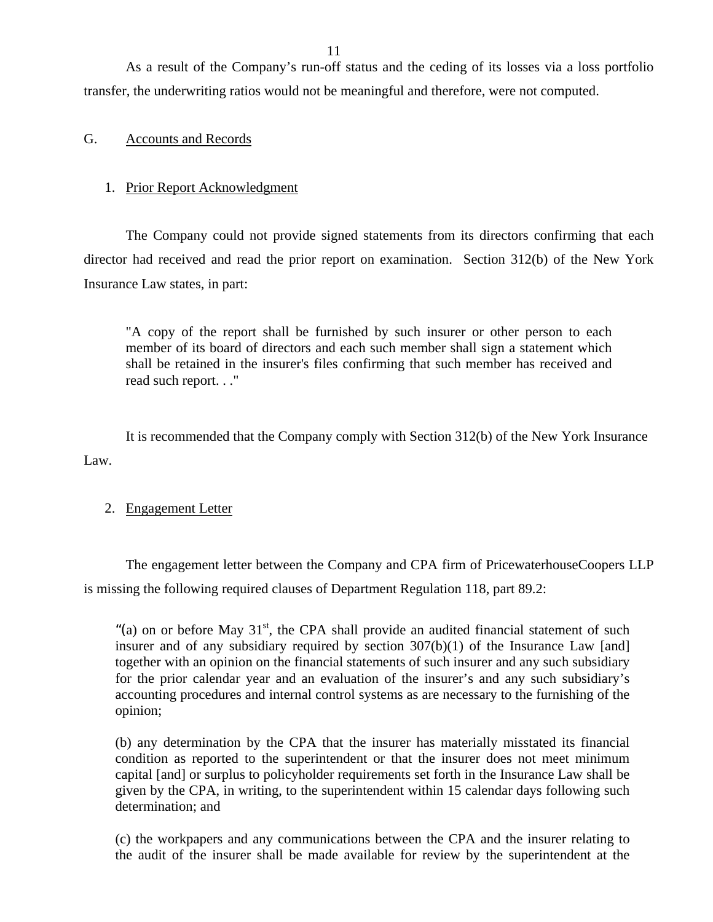<span id="page-13-0"></span>As a result of the Company's run-off status and the ceding of its losses via a loss portfolio transfer, the underwriting ratios would not be meaningful and therefore, were not computed.

#### G. Accounts and Records

#### 1. Prior Report Acknowledgment

The Company could not provide signed statements from its directors confirming that each director had received and read the prior report on examination. Section 312(b) of the New York Insurance Law states, in part:

"A copy of the report shall be furnished by such insurer or other person to each member of its board of directors and each such member shall sign a statement which shall be retained in the insurer's files confirming that such member has received and read such report. . ."

It is recommended that the Company comply with Section 312(b) of the New York Insurance Law.

#### 2. Engagement Letter

The engagement letter between the Company and CPA firm of PricewaterhouseCoopers LLP is missing the following required clauses of Department Regulation 118, part 89.2:

"(a) on or before May  $31<sup>st</sup>$ , the CPA shall provide an audited financial statement of such insurer and of any subsidiary required by section  $307(b)(1)$  of the Insurance Law [and] together with an opinion on the financial statements of such insurer and any such subsidiary for the prior calendar year and an evaluation of the insurer's and any such subsidiary's accounting procedures and internal control systems as are necessary to the furnishing of the opinion;

(b) any determination by the CPA that the insurer has materially misstated its financial condition as reported to the superintendent or that the insurer does not meet minimum capital [and] or surplus to policyholder requirements set forth in the Insurance Law shall be given by the CPA, in writing, to the superintendent within 15 calendar days following such determination; and

(c) the workpapers and any communications between the CPA and the insurer relating to the audit of the insurer shall be made available for review by the superintendent at the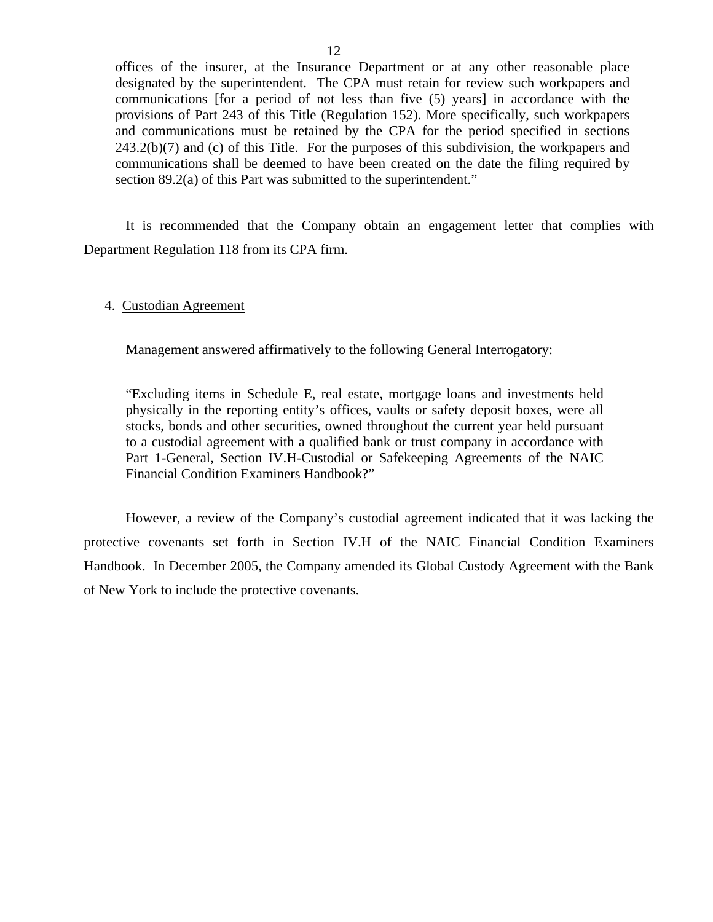offices of the insurer, at the Insurance Department or at any other reasonable place designated by the superintendent. The CPA must retain for review such workpapers and communications [for a period of not less than five (5) years] in accordance with the provisions of Part 243 of this Title (Regulation 152). More specifically, such workpapers and communications must be retained by the CPA for the period specified in sections 243.2(b)(7) and (c) of this Title. For the purposes of this subdivision, the workpapers and communications shall be deemed to have been created on the date the filing required by section 89.2(a) of this Part was submitted to the superintendent."

It is recommended that the Company obtain an engagement letter that complies with Department Regulation 118 from its CPA firm.

#### 4. Custodian Agreement

Management answered affirmatively to the following General Interrogatory:

"Excluding items in Schedule E, real estate, mortgage loans and investments held physically in the reporting entity's offices, vaults or safety deposit boxes, were all stocks, bonds and other securities, owned throughout the current year held pursuant to a custodial agreement with a qualified bank or trust company in accordance with Part 1-General, Section IV.H-Custodial or Safekeeping Agreements of the NAIC Financial Condition Examiners Handbook?"

However, a review of the Company's custodial agreement indicated that it was lacking the protective covenants set forth in Section IV.H of the NAIC Financial Condition Examiners Handbook. In December 2005, the Company amended its Global Custody Agreement with the Bank of New York to include the protective covenants.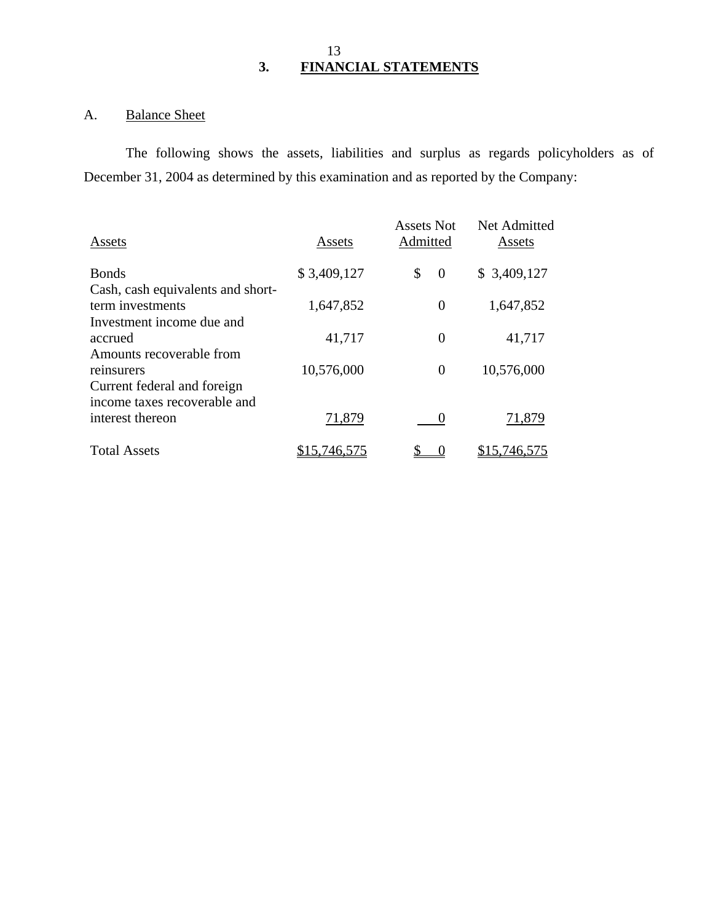### 13 **3. FINANCIAL STATEMENTS**

# A. Balance Sheet

The following shows the assets, liabilities and surplus as regards policyholders as of December 31, 2004 as determined by this examination and as reported by the Company:

| Assets       | <b>Assets Not</b><br>Admitted | Net Admitted<br>Assets |  |
|--------------|-------------------------------|------------------------|--|
| \$3,409,127  | \$<br>$\overline{0}$          | \$3,409,127            |  |
|              |                               |                        |  |
| 1,647,852    | $\overline{0}$                | 1,647,852              |  |
|              |                               |                        |  |
| 41,717       | 0                             | 41,717                 |  |
|              |                               |                        |  |
| 10,576,000   | $\overline{0}$                | 10,576,000             |  |
|              |                               |                        |  |
|              |                               |                        |  |
| 71,879       |                               | 71,879                 |  |
| \$15,746,575 |                               | \$15,746,575           |  |
|              |                               |                        |  |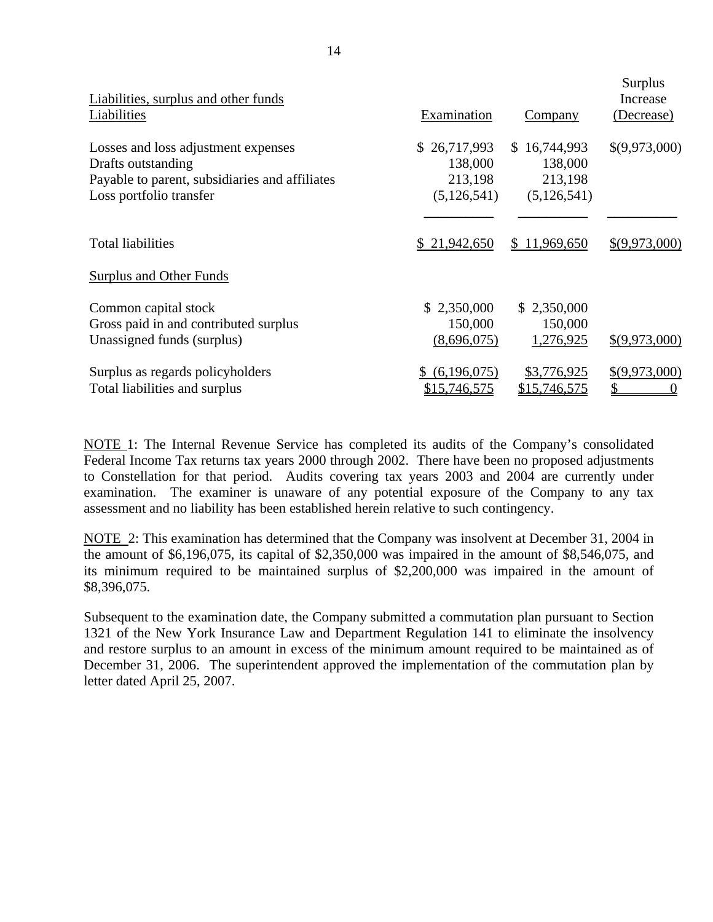| Liabilities, surplus and other funds<br>Liabilities | Examination   | Company       | Surplus<br>Increase<br>(Decrease) |
|-----------------------------------------------------|---------------|---------------|-----------------------------------|
| Losses and loss adjustment expenses                 | \$26,717,993  | \$16,744,993  | \$(9,973,000)                     |
| Drafts outstanding                                  | 138,000       | 138,000       |                                   |
| Payable to parent, subsidiaries and affiliates      | 213,198       | 213,198       |                                   |
| Loss portfolio transfer                             | (5, 126, 541) | (5, 126, 541) |                                   |
| <b>Total liabilities</b>                            | \$21,942,650  | \$11,969,650  | \$(9,973,000)                     |
| Surplus and Other Funds                             |               |               |                                   |
| Common capital stock                                | \$2,350,000   | \$2,350,000   | \$(9,973,000)                     |
| Gross paid in and contributed surplus               | 150,000       | 150,000       |                                   |
| Unassigned funds (surplus)                          | (8,696,075)   | 1,276,925     |                                   |
| Surplus as regards policyholders                    | (6,196,075)   | \$3,776,925   | \$(9,973,000)                     |
| Total liabilities and surplus                       | \$15,746,575  | \$15,746,575  |                                   |

NOTE 1: The Internal Revenue Service has completed its audits of the Company's consolidated Federal Income Tax returns tax years 2000 through 2002. There have been no proposed adjustments to Constellation for that period. Audits covering tax years 2003 and 2004 are currently under examination. The examiner is unaware of any potential exposure of the Company to any tax assessment and no liability has been established herein relative to such contingency.

NOTE 2: This examination has determined that the Company was insolvent at December 31, 2004 in the amount of \$6,196,075, its capital of \$2,350,000 was impaired in the amount of \$8,546,075, and its minimum required to be maintained surplus of \$2,200,000 was impaired in the amount of \$8,396,075.

Subsequent to the examination date, the Company submitted a commutation plan pursuant to Section 1321 of the New York Insurance Law and Department Regulation 141 to eliminate the insolvency and restore surplus to an amount in excess of the minimum amount required to be maintained as of December 31, 2006. The superintendent approved the implementation of the commutation plan by letter dated April 25, 2007.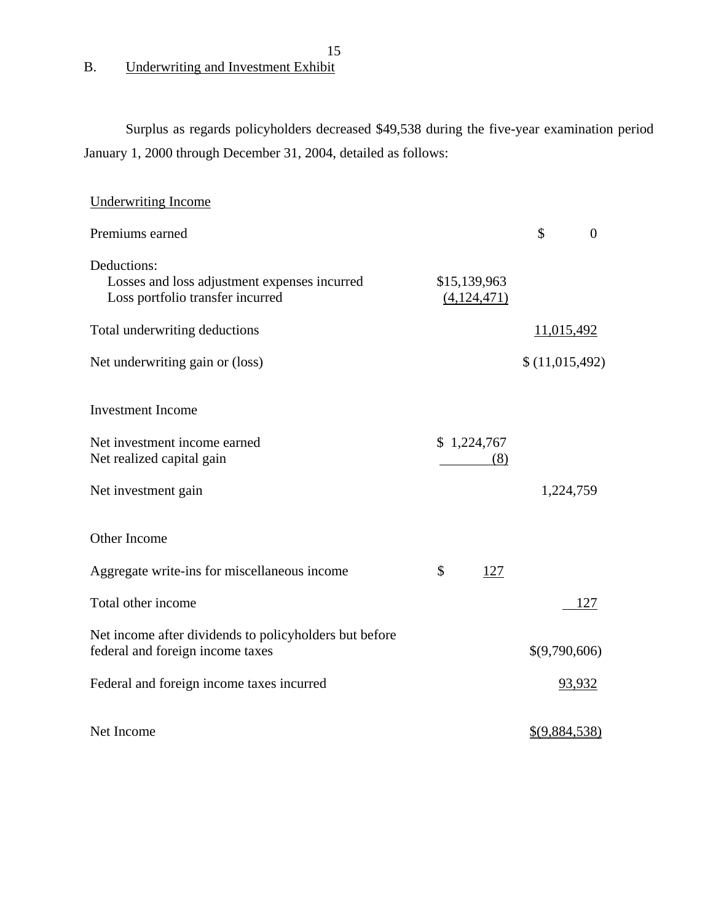B. Underwriting and Investment Exhibit

Surplus as regards policyholders decreased \$49,538 during the five-year examination period January 1, 2000 through December 31, 2004, detailed as follows:

15

| <b>Underwriting Income</b>                                                                      |                             |                |                |
|-------------------------------------------------------------------------------------------------|-----------------------------|----------------|----------------|
| Premiums earned                                                                                 |                             | \$             | $\overline{0}$ |
| Deductions:<br>Losses and loss adjustment expenses incurred<br>Loss portfolio transfer incurred | \$15,139,963<br>(4,124,471) |                |                |
| Total underwriting deductions                                                                   |                             | 11,015,492     |                |
| Net underwriting gain or (loss)                                                                 |                             | \$(11,015,492) |                |
| <b>Investment</b> Income                                                                        |                             |                |                |
| Net investment income earned<br>Net realized capital gain                                       | \$1,224,767<br>(8)          |                |                |
| Net investment gain                                                                             |                             | 1,224,759      |                |
| Other Income                                                                                    |                             |                |                |
| Aggregate write-ins for miscellaneous income                                                    | \$<br>127                   |                |                |
| Total other income                                                                              |                             |                | 127            |
| Net income after dividends to policyholders but before<br>federal and foreign income taxes      |                             | \$(9,790,606)  |                |
| Federal and foreign income taxes incurred                                                       |                             |                | 93,932         |
| Net Income                                                                                      |                             | \$(9,884,538)  |                |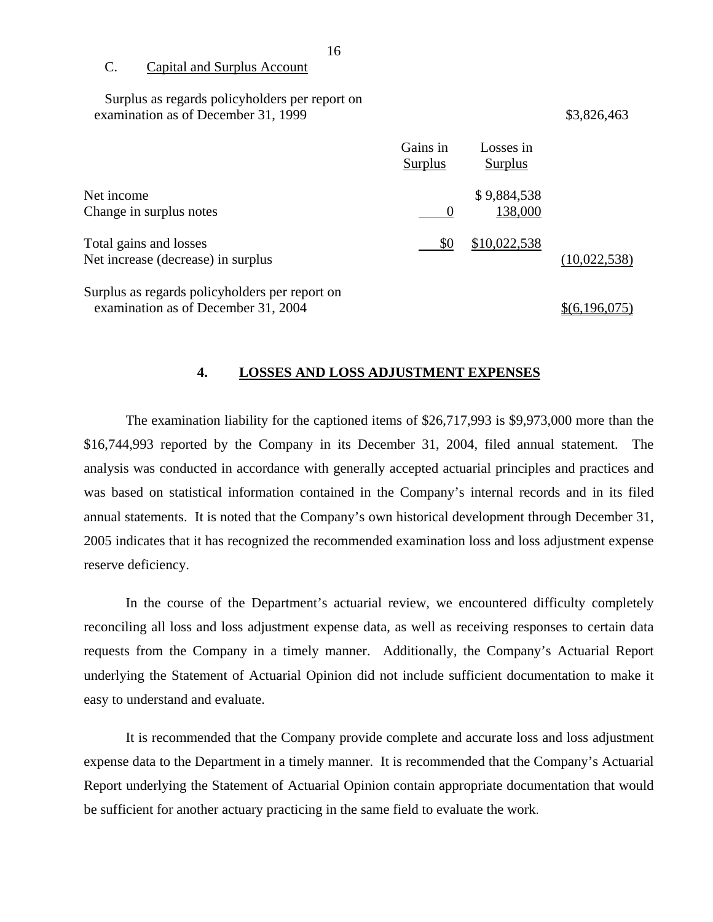C. Capital and Surplus Account

Surplus as regards policyholders per report on examination as of December 31, 1999 \$3,826,463

|                                                                                       | Gains in<br><b>Surplus</b> | Losses in<br>Surplus   |               |
|---------------------------------------------------------------------------------------|----------------------------|------------------------|---------------|
| Net income<br>Change in surplus notes                                                 |                            | \$9,884,538<br>138,000 |               |
|                                                                                       |                            |                        |               |
| Total gains and losses<br>Net increase (decrease) in surplus                          | \$0                        | \$10,022,538           | (10,022,538)  |
|                                                                                       |                            |                        |               |
| Surplus as regards policyholders per report on<br>examination as of December 31, 2004 |                            |                        | \$(6,196,075) |

**4. LOSSES AND LOSS ADJUSTMENT EXPENSES** 

The examination liability for the captioned items of \$26,717,993 is \$9,973,000 more than the \$16,744,993 reported by the Company in its December 31, 2004, filed annual statement. The analysis was conducted in accordance with generally accepted actuarial principles and practices and was based on statistical information contained in the Company's internal records and in its filed annual statements. It is noted that the Company's own historical development through December 31, 2005 indicates that it has recognized the recommended examination loss and loss adjustment expense reserve deficiency.

In the course of the Department's actuarial review, we encountered difficulty completely reconciling all loss and loss adjustment expense data, as well as receiving responses to certain data requests from the Company in a timely manner. Additionally, the Company's Actuarial Report underlying the Statement of Actuarial Opinion did not include sufficient documentation to make it easy to understand and evaluate.

It is recommended that the Company provide complete and accurate loss and loss adjustment expense data to the Department in a timely manner. It is recommended that the Company's Actuarial Report underlying the Statement of Actuarial Opinion contain appropriate documentation that would be sufficient for another actuary practicing in the same field to evaluate the work.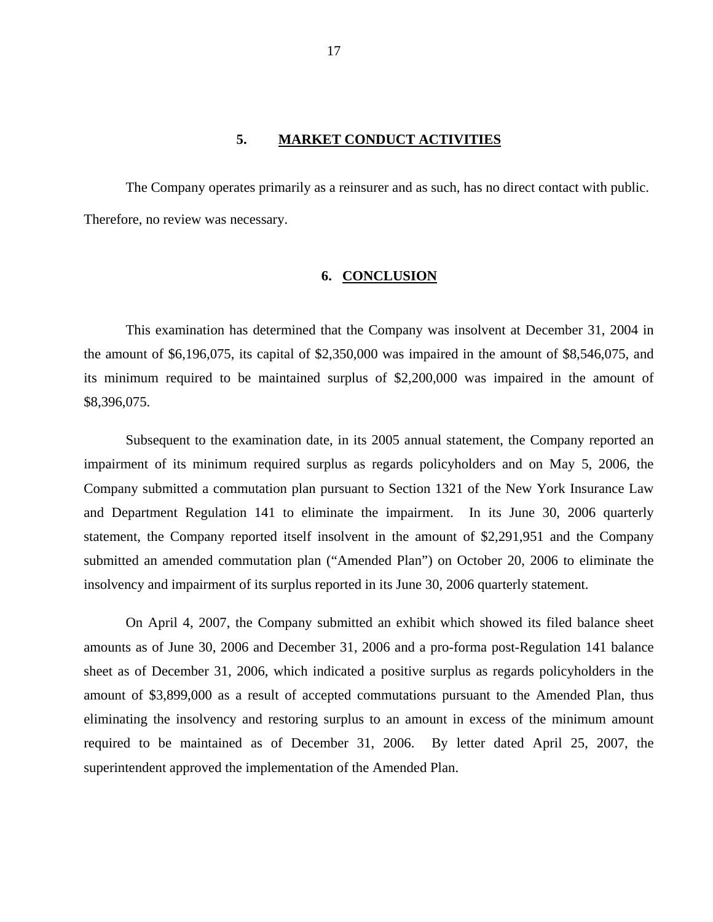#### **5. MARKET CONDUCT ACTIVITIES**

<span id="page-19-0"></span>The Company operates primarily as a reinsurer and as such, has no direct contact with public. Therefore, no review was necessary.

#### **6. CONCLUSION**

This examination has determined that the Company was insolvent at December 31, 2004 in the amount of \$6,196,075, its capital of \$2,350,000 was impaired in the amount of \$8,546,075, and its minimum required to be maintained surplus of \$2,200,000 was impaired in the amount of \$8,396,075.

Subsequent to the examination date, in its 2005 annual statement, the Company reported an impairment of its minimum required surplus as regards policyholders and on May 5, 2006, the Company submitted a commutation plan pursuant to Section 1321 of the New York Insurance Law and Department Regulation 141 to eliminate the impairment. In its June 30, 2006 quarterly statement, the Company reported itself insolvent in the amount of \$2,291,951 and the Company submitted an amended commutation plan ("Amended Plan") on October 20, 2006 to eliminate the insolvency and impairment of its surplus reported in its June 30, 2006 quarterly statement.

On April 4, 2007, the Company submitted an exhibit which showed its filed balance sheet amounts as of June 30, 2006 and December 31, 2006 and a pro-forma post-Regulation 141 balance sheet as of December 31, 2006, which indicated a positive surplus as regards policyholders in the amount of \$3,899,000 as a result of accepted commutations pursuant to the Amended Plan, thus eliminating the insolvency and restoring surplus to an amount in excess of the minimum amount required to be maintained as of December 31, 2006. By letter dated April 25, 2007, the superintendent approved the implementation of the Amended Plan.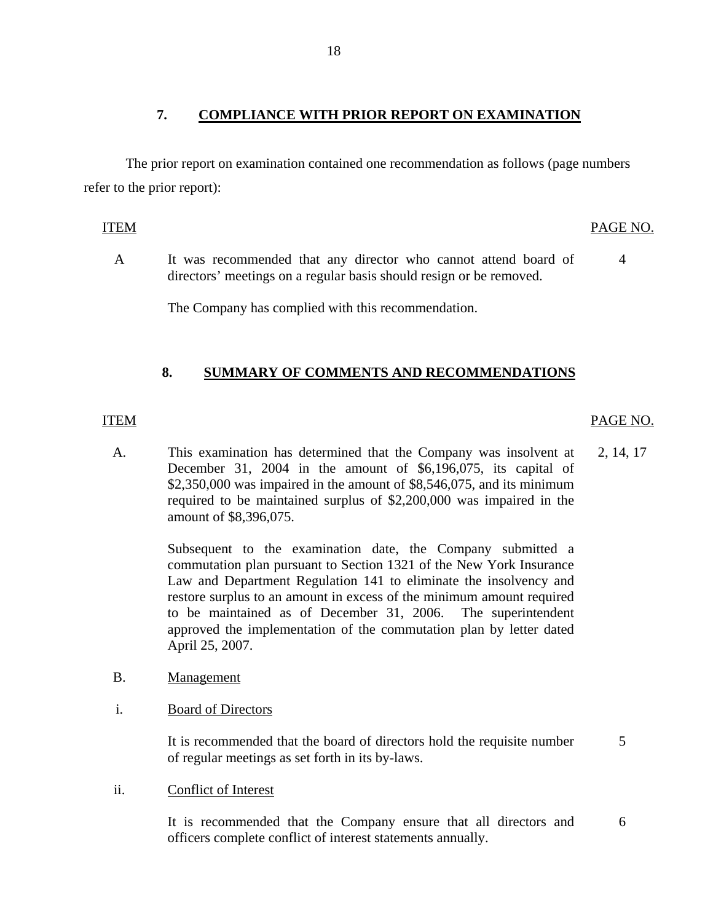### **7. COMPLIANCE WITH PRIOR REPORT ON EXAMINATION**

The prior report on examination contained one recommendation as follows (page numbers refer to the prior report):

- ITEM PAGE NO.
	- A It was recommended that any director who cannot attend board of directors' meetings on a regular basis should resign or be removed. 4

The Company has complied with this recommendation.

### **8. SUMMARY OF COMMENTS AND RECOMMENDATIONS**

### ITEM PAGE NO.

A. This examination has determined that the Company was insolvent at 2, 14, 17 December 31, 2004 in the amount of \$6,196,075, its capital of \$2,350,000 was impaired in the amount of \$8,546,075, and its minimum required to be maintained surplus of \$2,200,000 was impaired in the amount of \$8,396,075.

> Subsequent to the examination date, the Company submitted a commutation plan pursuant to Section 1321 of the New York Insurance Law and Department Regulation 141 to eliminate the insolvency and restore surplus to an amount in excess of the minimum amount required to be maintained as of December 31, 2006. The superintendent approved the implementation of the commutation plan by letter dated April 25, 2007.

#### B. Management

i. Board of Directors

It is recommended that the board of directors hold the requisite number 5 of regular meetings as set forth in its by-laws.

ii. Conflict of Interest

It is recommended that the Company ensure that all directors and 6 officers complete conflict of interest statements annually.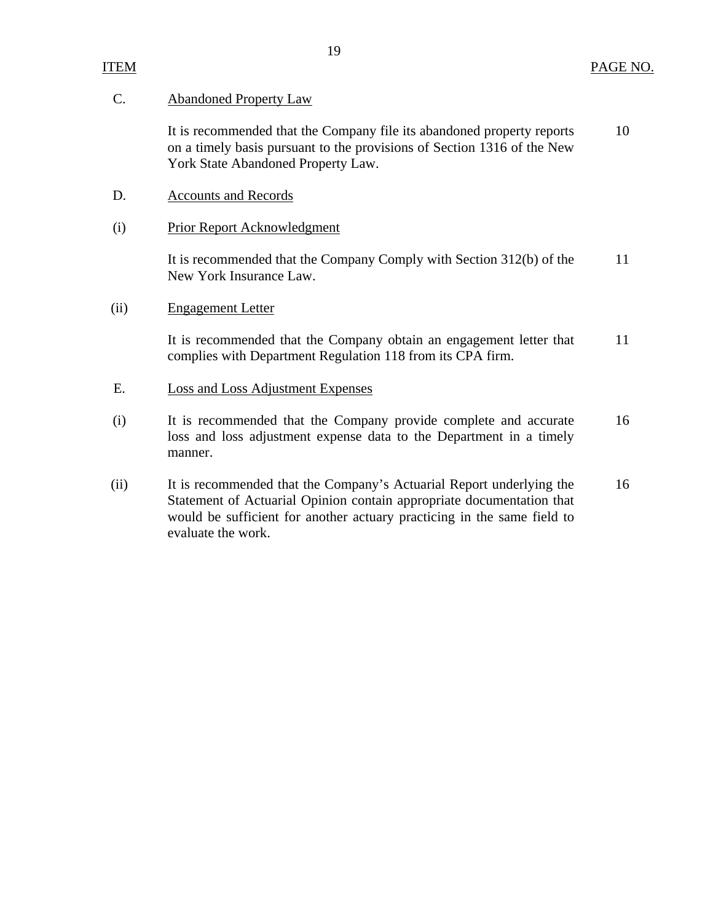# C. Abandoned Property Law

It is recommended that the Company file its abandoned property reports 10 on a timely basis pursuant to the provisions of Section 1316 of the New York State Abandoned Property Law.

- D. Accounts and Records
- (i) Prior Report Acknowledgment

It is recommended that the Company Comply with Section 312(b) of the 11 New York Insurance Law.

(ii) Engagement Letter

It is recommended that the Company obtain an engagement letter that 11 complies with Department Regulation 118 from its CPA firm.

- E. Loss and Loss Adjustment Expenses
- (i) It is recommended that the Company provide complete and accurate 16 loss and loss adjustment expense data to the Department in a timely manner.
- (ii) It is recommended that the Company's Actuarial Report underlying the 16 Statement of Actuarial Opinion contain appropriate documentation that would be sufficient for another actuary practicing in the same field to evaluate the work.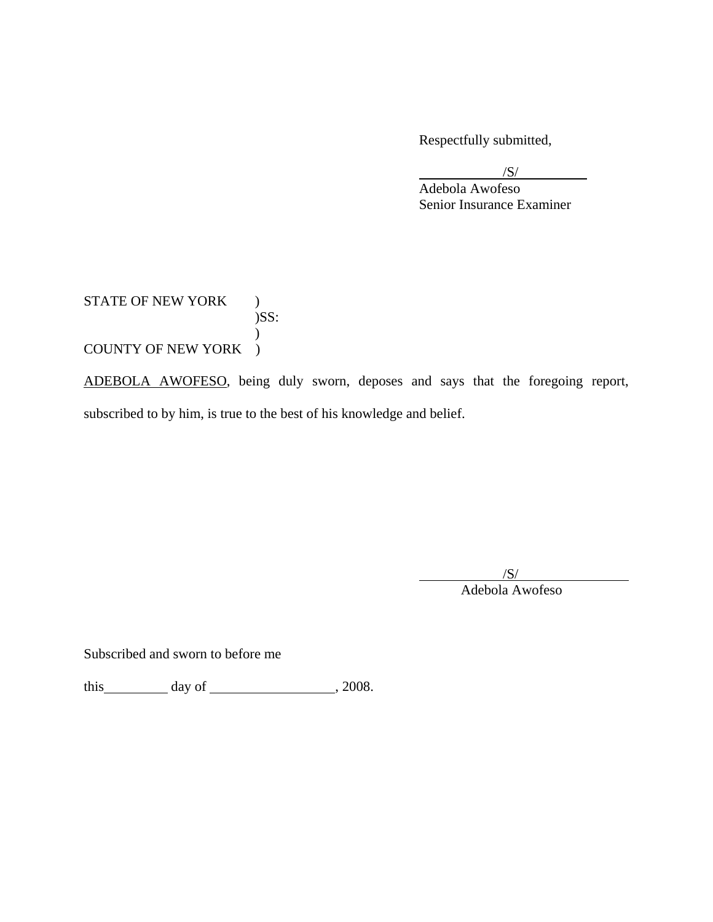Respectfully submitted,

 $\sqrt{S}$ /

 Adebola Awofeso Senior Insurance Examiner

STATE OF NEW YORK )  $)$ SS:  $\mathcal{L}$ COUNTY OF NEW YORK )

ADEBOLA AWOFESO, being duly sworn, deposes and says that the foregoing report, subscribed to by him, is true to the best of his knowledge and belief.

/S/

Adebola Awofeso

Subscribed and sworn to before me

this  $\qquad \qquad$  day of  $\qquad \qquad$  , 2008.